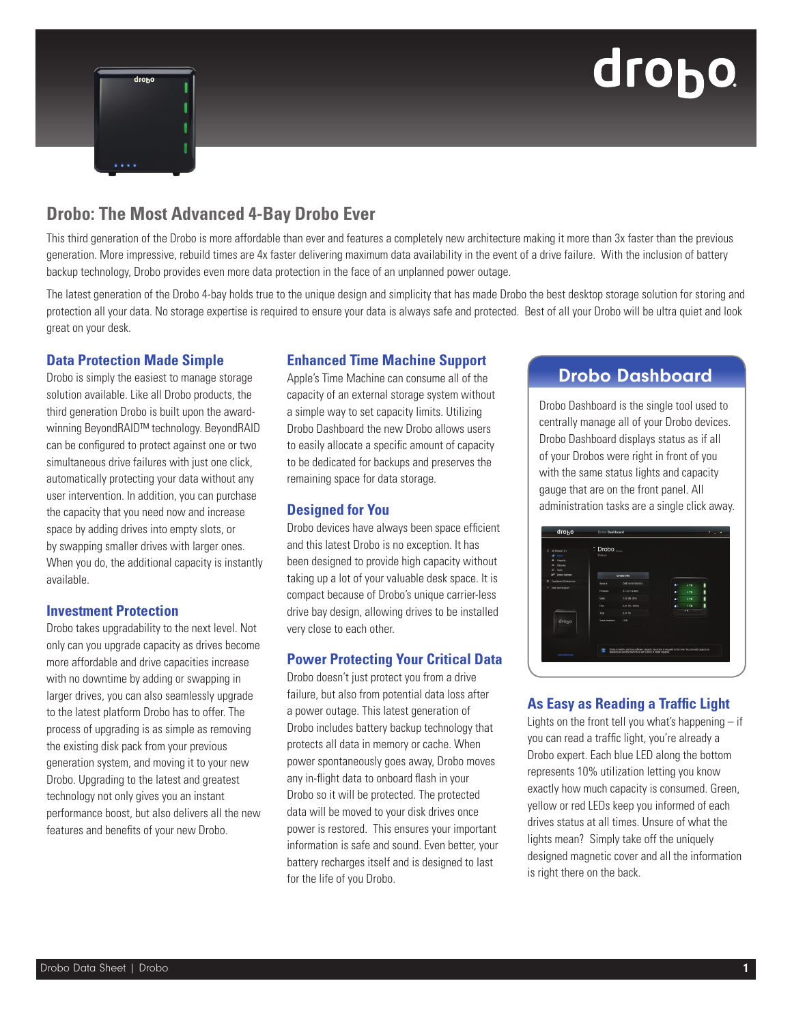# drobo



# **Drobo: The Most Advanced 4-Bay Drobo Ever**

This third generation of the Drobo is more affordable than ever and features a completely new architecture making it more than 3x faster than the previous generation. More impressive, rebuild times are 4x faster delivering maximum data availability in the event of a drive failure. With the inclusion of battery backup technology, Drobo provides even more data protection in the face of an unplanned power outage.

The latest generation of the Drobo 4-bay holds true to the unique design and simplicity that has made Drobo the best desktop storage solution for storing and protection all your data. No storage expertise is required to ensure your data is always safe and protected. Best of all your Drobo will be ultra quiet and look great on your desk.

# **Data Protection Made Simple**

Drobo is simply the easiest to manage storage solution available. Like all Drobo products, the third generation Drobo is built upon the awardwinning BeyondRAID™ technology. BeyondRAID can be configured to protect against one or two simultaneous drive failures with just one click, automatically protecting your data without any user intervention. In addition, you can purchase the capacity that you need now and increase space by adding drives into empty slots, or by swapping smaller drives with larger ones. When you do, the additional capacity is instantly available.

# **Investment Protection**

Drobo takes upgradability to the next level. Not only can you upgrade capacity as drives become more affordable and drive capacities increase with no downtime by adding or swapping in larger drives, you can also seamlessly upgrade to the latest platform Drobo has to offer. The process of upgrading is as simple as removing the existing disk pack from your previous generation system, and moving it to your new Drobo. Upgrading to the latest and greatest technology not only gives you an instant performance boost, but also delivers all the new features and benefits of your new Drobo.

# **Enhanced Time Machine Support**

Apple's Time Machine can consume all of the capacity of an external storage system without a simple way to set capacity limits. Utilizing Drobo Dashboard the new Drobo allows users to easily allocate a specific amount of capacity to be dedicated for backups and preserves the remaining space for data storage.

#### **Designed for You**

Drobo devices have always been space efficient and this latest Drobo is no exception. It has been designed to provide high capacity without taking up a lot of your valuable desk space. It is compact because of Drobo's unique carrier-less drive bay design, allowing drives to be installed very close to each other.

# **Power Protecting Your Critical Data**

Drobo doesn't just protect you from a drive failure, but also from potential data loss after a power outage. This latest generation of Drobo includes battery backup technology that protects all data in memory or cache. When power spontaneously goes away, Drobo moves any in-flight data to onboard flash in your Drobo so it will be protected. The protected data will be moved to your disk drives once power is restored. This ensures your important information is safe and sound. Even better, your battery recharges itself and is designed to last for the life of you Drobo.

# Drobo Dashboard

Drobo Dashboard is the single tool used to centrally manage all of your Drobo devices. Drobo Dashboard displays status as if all of your Drobos were right in front of you with the same status lights and capacity gauge that are on the front panel. All administration tasks are a single click away.

| $12$ All Drobos (2)                       | <sup>2</sup> Drobo <sub>(Drobo</sub> |                                                                                                                                                                                |              |   |
|-------------------------------------------|--------------------------------------|--------------------------------------------------------------------------------------------------------------------------------------------------------------------------------|--------------|---|
| <b>Status</b><br>٠                        | <b>Status</b>                        |                                                                                                                                                                                |              |   |
| Capacity<br>۰                             |                                      |                                                                                                                                                                                |              |   |
| <b>Millimore</b><br>$\sim$                |                                      |                                                                                                                                                                                |              |   |
| Tools.<br>A                               |                                      |                                                                                                                                                                                |              |   |
| $n^{\circ}$<br>Drobe Settings             | Drobo Info                           |                                                                                                                                                                                |              |   |
| <b>Cashboard Proferences</b><br>$\bullet$ | Serial #                             | DRE141001D00023                                                                                                                                                                | ж.           | ۱ |
| ٠<br>Help and Support                     |                                      |                                                                                                                                                                                | 4TB          |   |
|                                           | Fernane                              | 3.1.0 (11.5.880)                                                                                                                                                               | 4TB<br>ж.    | ۱ |
|                                           | Used                                 | 152 GB (2%)                                                                                                                                                                    | $2$ TR<br>л. | ۱ |
|                                           | Free                                 | 6.31 TB (500%)                                                                                                                                                                 | $1$ TB<br>ж. | ٠ |
|                                           | Total                                | 6.31.78                                                                                                                                                                        |              |   |
| drobo                                     | Artive Interface                     | LISH                                                                                                                                                                           |              |   |
|                                           |                                      |                                                                                                                                                                                |              |   |
|                                           |                                      |                                                                                                                                                                                |              |   |
|                                           | т                                    | Drobo is healthy and has sufficient capacity. No action is required at this time. You can add capacity by<br>replacing an existing hard drive with a drive of larger capacity. |              |   |

# **As Easy as Reading a Traffic Light**

Lights on the front tell you what's happening  $-$  if you can read a traffic light, you're already a Drobo expert. Each blue LED along the bottom represents 10% utilization letting you know exactly how much capacity is consumed. Green, yellow or red LEDs keep you informed of each drives status at all times. Unsure of what the lights mean? Simply take off the uniquely designed magnetic cover and all the information is right there on the back.